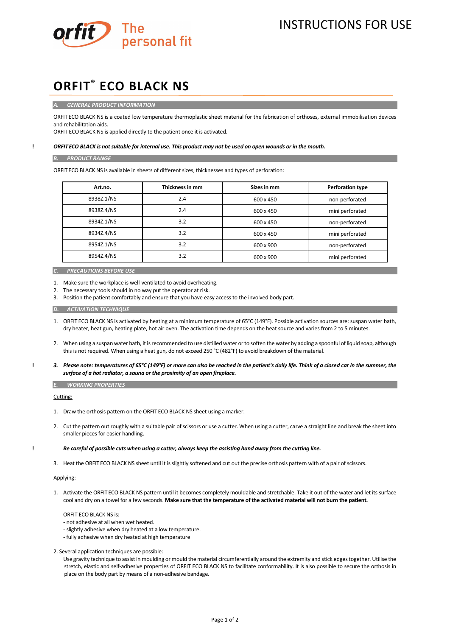

# **ORFIT® ECO BLACK NS**

*A. GENERAL PRODUCT INFORMATION*

ORFIT ECO BLACK NS is a coated low temperature thermoplastic sheet material for the fabrication of orthoses, external immobilisation devices and rehabilitation aids.

ORFIT ECO BLACK NS is applied directly to the patient once it is activated.

### **!** *ORFITECO BLACK is not suitable for internal use. This product may not be used on open wounds or in the mouth.*

#### *B. PRODUCT RANGE*

ORFIT ECO BLACK NS is available in sheets of different sizes, thicknesses and types of perforation:

| Art.no.    | Thickness in mm | Sizes in mm | <b>Perforation type</b> |
|------------|-----------------|-------------|-------------------------|
| 8938Z.1/NS | 2.4             | 600 x 450   | non-perforated          |
| 8938Z.4/NS | 2.4             | 600 x 450   | mini perforated         |
| 8934Z.1/NS | 3.2             | 600 x 450   | non-perforated          |
| 8934Z.4/NS | 3.2             | 600 x 450   | mini perforated         |
| 8954Z.1/NS | 3.2             | 600 x 900   | non-perforated          |
| 8954Z.4/NS | 3.2             | 600 x 900   | mini perforated         |

*C. PRECAUTIONS BEFORE USE* 

1. Make sure the workplace is well-ventilated to avoid overheating.

- 2. The necessary tools should in no way put the operator at risk.
- 3. Position the patient comfortably and ensure that you have easy access to the involved body part.

*D. ACTIVATION TECHNIQUE* 

- 1. ORFIT ECO BLACK NS is activated by heating at a minimum temperature of 65°C (149°F). Possible activation sources are: suspan water bath, dry heater, heat gun, heating plate, hot air oven. The activation time depends on the heat source and varies from 2 to 5 minutes.
- 2. When using a suspan water bath, it is recommended to use distilled water or to soften the water by adding a spoonful of liquid soap, although this is not required. When using a heat gun, do not exceed 250 °C (482°F) to avoid breakdown of the material.
- **!** *3. Please note: temperatures of 65°C (149°F) or more can also be reached in the patient's daily life. Think of a closed car in the summer, the surface of a hot radiator, a sauna or the proximity of an open fireplace.*

*E. WORKING PROPERTIES*

Cutting:

- 1. Draw the orthosis pattern on the ORFIT ECO BLACK NS sheet using a marker.
- 2. Cut the pattern out roughly with a suitable pair of scissors or use a cutter. When using a cutter, carve a straight line and break the sheet into smaller pieces for easier handling.

## **!** *Be careful of possible cuts when using a cutter, always keep the assisting hand away from the cutting line.*

3. Heat the ORFIT ECO BLACK NS sheet until it is slightly softened and cut out the precise orthosis pattern with of a pair of scissors.

# Applying:

1. Activate the ORFIT ECO BLACK NS pattern until it becomes completely mouldable and stretchable. Take it out of the water and let its surface cool and dry on a towel for a few seconds. **Make sure that the temperature of the activated material will not burn the patient.**

ORFIT ECO BLACK NS is:

- not adhesive at all when wet heated.
- slightly adhesive when dry heated at a low temperature.
- fully adhesive when dry heated at high temperature

2. Several application techniques are possible:

Use gravity technique to assist in moulding or mould the material circumferentially around the extremity and stick edges together. Utilise the stretch, elastic and self-adhesive properties of ORFIT ECO BLACK NS to facilitate conformability. It is also possible to secure the orthosis in place on the body part by means of a non-adhesive bandage.